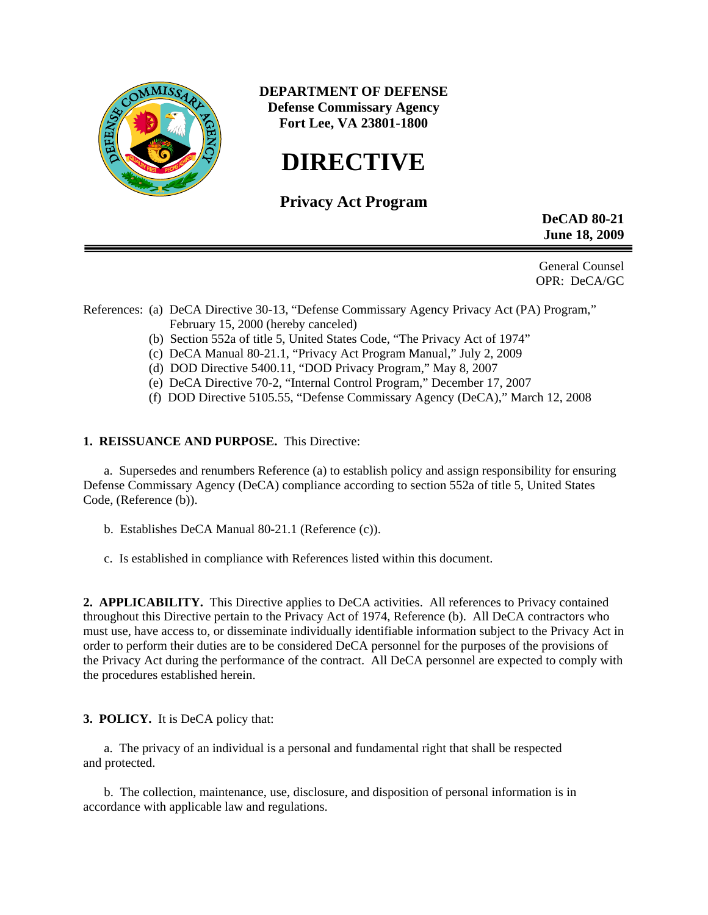

**DEPARTMENT OF DEFENSE Defense Commissary Agency Fort Lee, VA 23801-1800** 

# **DIRECTIVE**

## **Privacy Act Program**

 **DeCAD 80-21 June 18, 2009** 

General Counsel OPR: DeCA/GC

## References: (a) DeCA Directive 30-13, "Defense Commissary Agency Privacy Act (PA) Program," February 15, 2000 (hereby canceled)

- (b) Section 552a of title 5, United States Code, "The Privacy Act of 1974"
- (c) DeCA Manual 80-21.1, "Privacy Act Program Manual," July 2, 2009
- (d) DOD Directive 5400.11, "DOD Privacy Program," May 8, 2007
- (e) DeCA Directive 70-2, "Internal Control Program," December 17, 2007
- (f) DOD Directive 5105.55, "Defense Commissary Agency (DeCA)," March 12, 2008

## **1. REISSUANCE AND PURPOSE.** This Directive:

 a. Supersedes and renumbers Reference (a) to establish policy and assign responsibility for ensuring Defense Commissary Agency (DeCA) compliance according to section 552a of title 5, United States Code, (Reference (b)).

- b. Establishes DeCA Manual 80-21.1 (Reference (c)).
- c. Is established in compliance with References listed within this document.

**2. APPLICABILITY.** This Directive applies to DeCA activities. All references to Privacy contained throughout this Directive pertain to the Privacy Act of 1974, Reference (b). All DeCA contractors who must use, have access to, or disseminate individually identifiable information subject to the Privacy Act in order to perform their duties are to be considered DeCA personnel for the purposes of the provisions of the Privacy Act during the performance of the contract. All DeCA personnel are expected to comply with the procedures established herein.

## **3. POLICY.** It is DeCA policy that:

a. The privacy of an individual is a personal and fundamental right that shall be respected and protected.

 b. The collection, maintenance, use, disclosure, and disposition of personal information is in accordance with applicable law and regulations.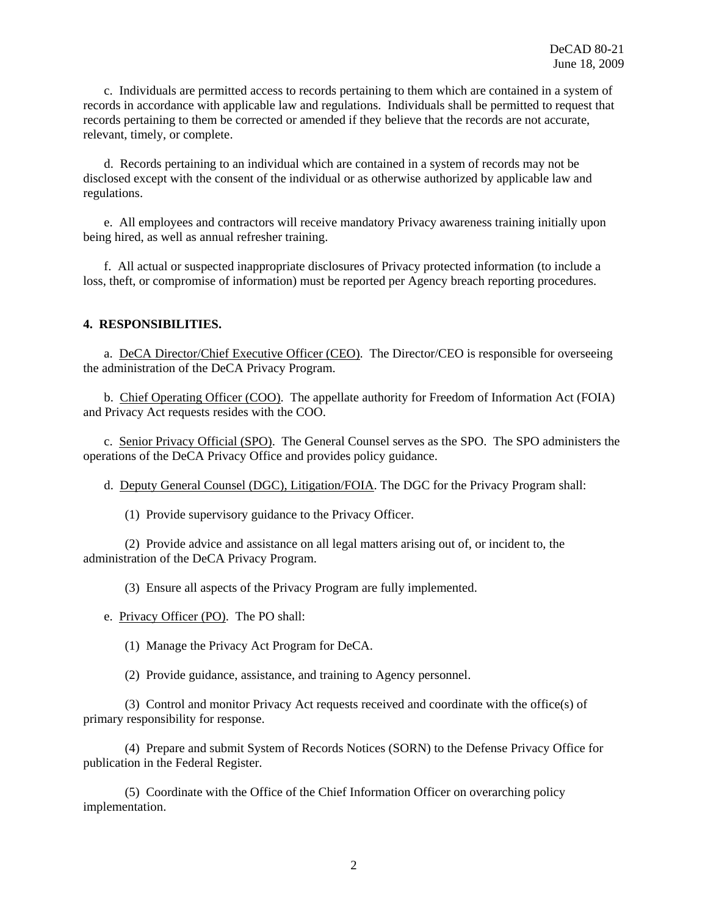c. Individuals are permitted access to records pertaining to them which are contained in a system of records in accordance with applicable law and regulations. Individuals shall be permitted to request that records pertaining to them be corrected or amended if they believe that the records are not accurate, relevant, timely, or complete.

d. Records pertaining to an individual which are contained in a system of records may not be disclosed except with the consent of the individual or as otherwise authorized by applicable law and regulations.

e. All employees and contractors will receive mandatory Privacy awareness training initially upon being hired, as well as annual refresher training.

f. All actual or suspected inappropriate disclosures of Privacy protected information (to include a loss, theft, or compromise of information) must be reported per Agency breach reporting procedures.

#### **4. RESPONSIBILITIES.**

a. DeCA Director/Chief Executive Officer (CEO). The Director/CEO is responsible for overseeing the administration of the DeCA Privacy Program.

b. Chief Operating Officer (COO). The appellate authority for Freedom of Information Act (FOIA) and Privacy Act requests resides with the COO.

 c. Senior Privacy Official (SPO). The General Counsel serves as the SPO. The SPO administers the operations of the DeCA Privacy Office and provides policy guidance.

d. Deputy General Counsel (DGC), Litigation/FOIA. The DGC for the Privacy Program shall:

(1) Provide supervisory guidance to the Privacy Officer.

 (2) Provide advice and assistance on all legal matters arising out of, or incident to, the administration of the DeCA Privacy Program.

(3) Ensure all aspects of the Privacy Program are fully implemented.

e. Privacy Officer (PO). The PO shall:

(1) Manage the Privacy Act Program for DeCA.

(2) Provide guidance, assistance, and training to Agency personnel.

 (3) Control and monitor Privacy Act requests received and coordinate with the office(s) of primary responsibility for response.

 (4) Prepare and submit System of Records Notices (SORN) to the Defense Privacy Office for publication in the Federal Register.

 (5) Coordinate with the Office of the Chief Information Officer on overarching policy implementation.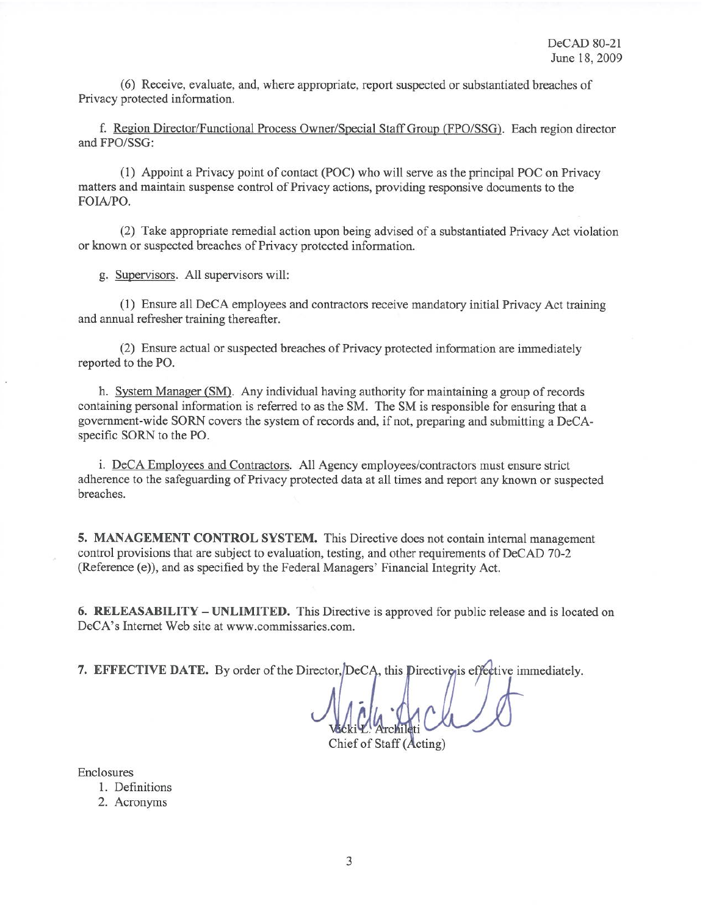(6) Receive, evaluate, and, where appropriate, report suspected or substantiated breaches of Privacy protected information.

f. Region Director/Functional Process Owner/Special Staff Group (FPO/SSG). Each region director and FPO/SSG:

(1) Appoint a Privacy point of contact (POC) who will serve as the principal POC on Privacy matters and maintain suspense control of Privacy actions, providing responsive documents to the FOIA/PO.

(2) Take appropriate remedial action upon being advised of a substantiated Privacy Act violation or known or suspected breaches of Privacy protected information.

g. Supervisors. All supervisors will:

(1) Ensure all DeCA employees and contractors receive mandatory initial Privacy Act training and annual refresher training thereafter.

(2) Ensure actual or suspected breaches of Privacy protected information are immediately reported to the PO.

h. System Manager (SM). Any individual having authority for maintaining a group of records containing personal information is referred to as the SM. The SM is responsible for ensuring that a government-wide SORN covers the system of records and, if not, preparing and submitting a DeCAspecific SORN to the PO.

i. DeCA Employees and Contractors. All Agency employees/contractors must ensure strict adherence to the safeguarding of Privacy protected data at all times and report any known or suspected breaches.

5. MANAGEMENT CONTROL SYSTEM. This Directive does not contain internal management control provisions that are subject to evaluation, testing, and other requirements of DeCAD 70-2 (Reference (e)), and as specified by the Federal Managers' Financial Integrity Act.

6. RELEASABILITY – UNLIMITED. This Directive is approved for public release and is located on DeCA's Internet Web site at www.commissaries.com.

7. EFFECTIVE DATE. By order of the Director, DeCA, this Directive is effective immediately.

Chief of Staff (Acting)

Enclosures

1. Definitions

2. Acronyms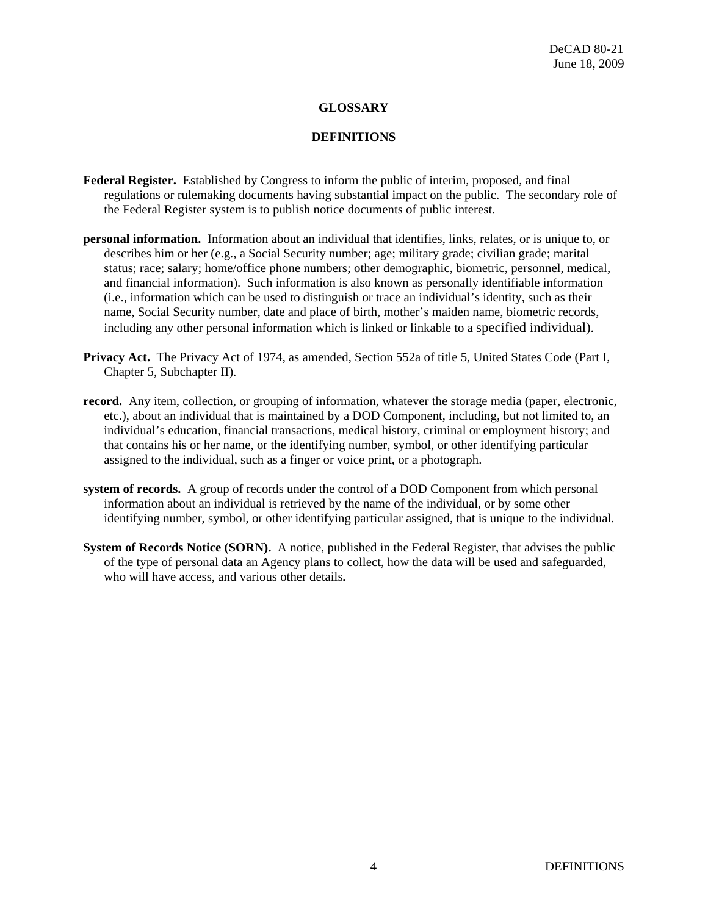## **GLOSSARY**

### **DEFINITIONS**

- **Federal Register.** Established by Congress to inform the public of interim, proposed, and final regulations or rulemaking documents having substantial impact on the public. The secondary role of the Federal Register system is to publish notice documents of public interest.
- **personal information.** Information about an individual that identifies, links, relates, or is unique to, or describes him or her (e.g., a Social Security number; age; military grade; civilian grade; marital status; race; salary; home/office phone numbers; other demographic, biometric, personnel, medical, and financial information). Such information is also known as personally identifiable information (i.e., information which can be used to distinguish or trace an individual's identity, such as their name, Social Security number, date and place of birth, mother's maiden name, biometric records, including any other personal information which is linked or linkable to a specified individual).
- **Privacy Act.** The Privacy Act of 1974, as amended, Section 552a of title 5, United States Code (Part I, Chapter 5, Subchapter II).
- **record.** Any item, collection, or grouping of information, whatever the storage media (paper, electronic, etc.), about an individual that is maintained by a DOD Component, including, but not limited to, an individual's education, financial transactions, medical history, criminal or employment history; and that contains his or her name, or the identifying number, symbol, or other identifying particular assigned to the individual, such as a finger or voice print, or a photograph.
- **system of records.** A group of records under the control of a DOD Component from which personal information about an individual is retrieved by the name of the individual, or by some other identifying number, symbol, or other identifying particular assigned, that is unique to the individual.
- **System of Records Notice (SORN).** A notice, published in the Federal Register, that advises the public of the type of personal data an Agency plans to collect, how the data will be used and safeguarded, who will have access, and various other details**.**